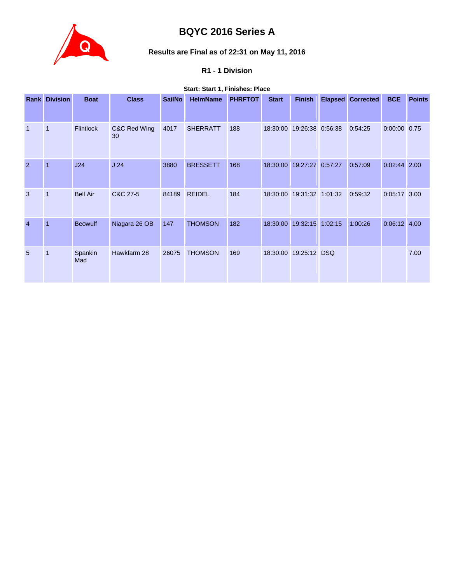

## **BQYC 2016 Series A**

# **Results are Final as of 22:31 on May 11, 2016**

## **R1 - 1 Division**

## **Start: Start 1, Finishes: Place**

|                | <b>Rank Division</b> | <b>Boat</b>      | <b>Class</b>       | <b>SailNo</b> | <b>HelmName</b> | <b>PHRFTOT</b> | <b>Start</b> | <b>Finish</b>             |         | <b>Elapsed Corrected</b> | <b>BCE</b>     | <b>Points</b> |
|----------------|----------------------|------------------|--------------------|---------------|-----------------|----------------|--------------|---------------------------|---------|--------------------------|----------------|---------------|
|                |                      |                  |                    |               |                 |                |              |                           |         |                          |                |               |
| $\mathbf{1}$   | $\mathbf{1}$         | <b>Flintlock</b> | C&C Red Wing<br>30 | 4017          | <b>SHERRATT</b> | 188            |              | 18:30:00 19:26:38 0:56:38 |         | 0:54:25                  | $0:00:00$ 0.75 |               |
| $\overline{2}$ | $\overline{1}$       | J24              | J <sub>24</sub>    | 3880          | <b>BRESSETT</b> | 168            | 18:30:00     | 19:27:27                  | 0:57:27 | 0:57:09                  | $0:02:44$ 2.00 |               |
| 3              | $\overline{1}$       | <b>Bell Air</b>  | C&C 27-5           | 84189         | <b>REIDEL</b>   | 184            |              | 18:30:00 19:31:32 1:01:32 |         | 0:59:32                  | $0:05:17$ 3.00 |               |
| $\overline{4}$ | $\overline{1}$       | <b>Beowulf</b>   | Niagara 26 OB      | 147           | <b>THOMSON</b>  | 182            | 18:30:00     | 19:32:15 1:02:15          |         | 1:00:26                  | $0:06:12$ 4.00 |               |
| 5              | $\mathbf{1}$         | Spankin<br>Mad   | Hawkfarm 28        | 26075         | <b>THOMSON</b>  | 169            |              | 18:30:00 19:25:12 DSQ     |         |                          |                | 7.00          |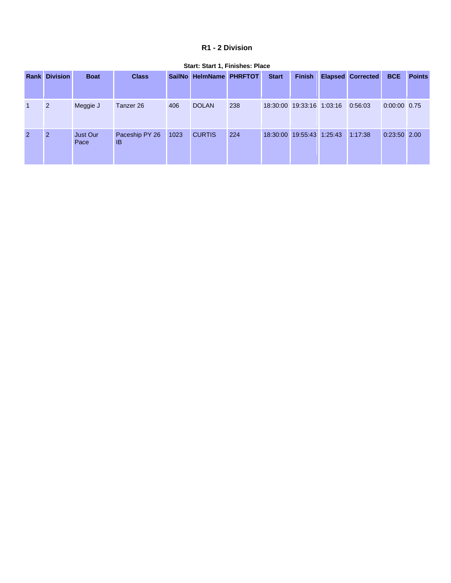## **R1 - 2 Division**

|                | <b>Rank Division</b> | <b>Boat</b>      | <b>Class</b>                |      | SailNo HelmName PHRFTOT |     | <b>Start</b> | <b>Finish</b>             | <b>Elapsed Corrected</b> | <b>BCE</b>     | <b>Points</b> |
|----------------|----------------------|------------------|-----------------------------|------|-------------------------|-----|--------------|---------------------------|--------------------------|----------------|---------------|
| $\mathbf{1}$   | 2                    | Meggie J         | Tanzer 26                   | 406  | <b>DOLAN</b>            | 238 |              | 18:30:00 19:33:16 1:03:16 | 0:56:03                  | 0:00:00 0.75   |               |
| $\overline{2}$ | $\overline{2}$       | Just Our<br>Pace | Paceship PY 26<br><b>IB</b> | 1023 | <b>CURTIS</b>           | 224 |              | 18:30:00 19:55:43 1:25:43 | 1:17:38                  | $0:23:50$ 2.00 |               |

#### **Start: Start 1, Finishes: Place**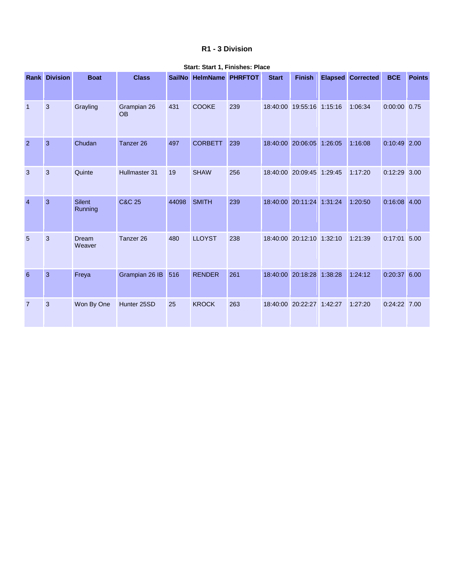## **R1 - 3 Division**

|                | <b>Rank Division</b> | <b>Boat</b>       | <b>Class</b>             |       | SailNo HelmName PHRFTOT |     | <b>Start</b> | <b>Finish</b>             | <b>Elapsed Corrected</b> | <b>BCE</b>     | <b>Points</b> |
|----------------|----------------------|-------------------|--------------------------|-------|-------------------------|-----|--------------|---------------------------|--------------------------|----------------|---------------|
| $\overline{1}$ | 3                    | Grayling          | Grampian 26<br><b>OB</b> | 431   | <b>COOKE</b>            | 239 |              | 18:40:00 19:55:16 1:15:16 | 1:06:34                  | $0:00:00$ 0.75 |               |
| $\overline{2}$ | $\mathbf{3}$         | Chudan            | Tanzer 26                | 497   | <b>CORBETT</b>          | 239 |              | 18:40:00 20:06:05 1:26:05 | 1:16:08                  | $0:10:49$ 2.00 |               |
| $\overline{3}$ | 3                    | Quinte            | Hullmaster 31            | 19    | <b>SHAW</b>             | 256 |              | 18:40:00 20:09:45 1:29:45 | 1:17:20                  | $0:12:29$ 3.00 |               |
| $\overline{4}$ | 3                    | Silent<br>Running | <b>C&amp;C 25</b>        | 44098 | <b>SMITH</b>            | 239 |              | 18:40:00 20:11:24 1:31:24 | 1:20:50                  | $0:16:08$ 4.00 |               |
| 5              | 3                    | Dream<br>Weaver   | Tanzer 26                | 480   | <b>LLOYST</b>           | 238 |              | 18:40:00 20:12:10 1:32:10 | 1:21:39                  | $0:17:01$ 5.00 |               |
| 6              | $\mathbf{3}$         | Freya             | Grampian 26 IB           | 516   | <b>RENDER</b>           | 261 |              | 18:40:00 20:18:28 1:38:28 | 1:24:12                  | 0:20:37 6.00   |               |
| $\overline{7}$ | 3                    | Won By One        | Hunter 25SD              | 25    | <b>KROCK</b>            | 263 |              | 18:40:00 20:22:27 1:42:27 | 1:27:20                  | $0:24:22$ 7.00 |               |

#### **Start: Start 1, Finishes: Place**